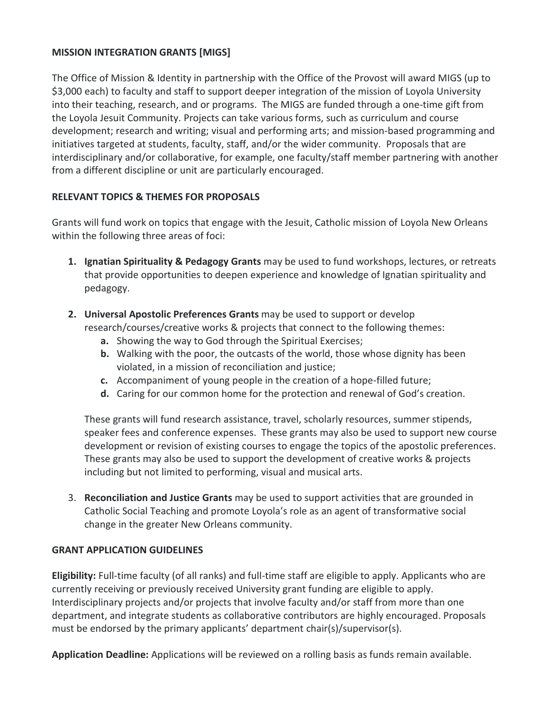### **MISSION INTEGRATION GRANTS [MIGS]**

The Office of Mission & Identity in partnership with the Office of the Provost will award MIGS (up to \$3,000 each) to faculty and staff to support deeper integration of the mission of Loyola University into their teaching, research, and or programs. The MIGS are funded through a one-time gift from the Loyola Jesuit Community. Projects can take various forms, such as curriculum and course development; research and writing; visual and performing arts; and mission-based programming and initiatives targeted at students, faculty, staff, and/or the wider community. Proposals that are interdisciplinary and/or collaborative, for example, one faculty/staff member partnering with another from a different discipline or unit are particularly encouraged.

### **RELEVANT TOPICS & THEMES FOR PROPOSALS**

Grants will fund work on topics that engage with the Jesuit, Catholic mission of Loyola New Orleans within the following three areas of foci:

- **1. Ignatian Spirituality & Pedagogy Grants** may be used to fund workshops, lectures, or retreats that provide opportunities to deepen experience and knowledge of Ignatian spirituality and pedagogy.
- **2. Universal Apostolic Preferences Grants** may be used to support or develop research/courses/creative works & projects that connect to the following themes:
	- **a.** Showing the way to God through the Spiritual Exercises;
	- **b.** Walking with the poor, the outcasts of the world, those whose dignity has been violated, in a mission of reconciliation and justice;
	- **c.** Accompaniment of young people in the creation of a hope-filled future;
	- **d.** Caring for our common home for the protection and renewal of God's creation.

These grants will fund research assistance, travel, scholarly resources, summer stipends, speaker fees and conference expenses. These grants may also be used to support new course development or revision of existing courses to engage the topics of the apostolic preferences. These grants may also be used to support the development of creative works & projects including but not limited to performing, visual and musical arts.

3. **Reconciliation and Justice Grants** may be used to support activities that are grounded in Catholic Social Teaching and promote Loyola's role as an agent of transformative social change in the greater New Orleans community.

### **GRANT APPLICATION GUIDELINES**

**Eligibility:** Full-time faculty (of all ranks) and full-time staff are eligible to apply. Applicants who are currently receiving or previously received University grant funding are eligible to apply. Interdisciplinary projects and/or projects that involve faculty and/or staff from more than one department, and integrate students as collaborative contributors are highly encouraged. Proposals must be endorsed by the primary applicants' department chair(s)/supervisor(s).

**Application Deadline:** Applications will be reviewed on a rolling basis as funds remain available.